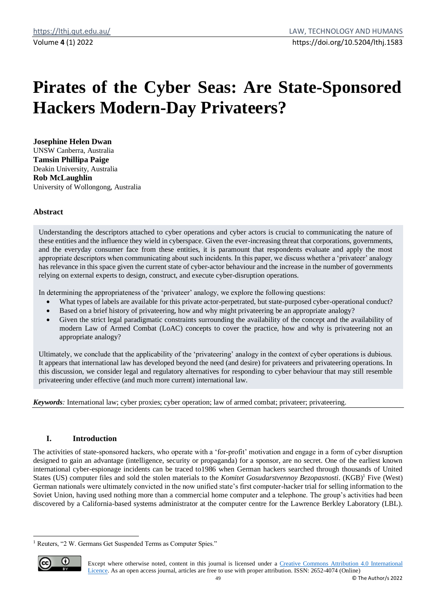# **Pirates of the Cyber Seas: Are State-Sponsored Hackers Modern-Day Privateers?**

**Josephine Helen Dwan** UNSW Canberra, Australia **Tamsin Phillipa Paige** Deakin University, Australia **Rob McLaughlin** University of Wollongong, Australia

## **Abstract**

Understanding the descriptors attached to cyber operations and cyber actors is crucial to communicating the nature of these entities and the influence they wield in cyberspace. Given the ever-increasing threat that corporations, governments, and the everyday consumer face from these entities, it is paramount that respondents evaluate and apply the most appropriate descriptors when communicating about such incidents. In this paper, we discuss whether a 'privateer' analogy has relevance in this space given the current state of cyber-actor behaviour and the increase in the number of governments relying on external experts to design, construct, and execute cyber-disruption operations.

In determining the appropriateness of the 'privateer' analogy, we explore the following questions:

- What types of labels are available for this private actor-perpetrated, but state-purposed cyber-operational conduct?
- Based on a brief history of privateering, how and why might privateering be an appropriate analogy?
- Given the strict legal paradigmatic constraints surrounding the availability of the concept and the availability of modern Law of Armed Combat (LoAC) concepts to cover the practice, how and why is privateering not an appropriate analogy?

Ultimately, we conclude that the applicability of the 'privateering' analogy in the context of cyber operations is dubious. It appears that international law has developed beyond the need (and desire) for privateers and privateering operations. In this discussion, we consider legal and regulatory alternatives for responding to cyber behaviour that may still resemble privateering under effective (and much more current) international law.

*Keywords:* International law; cyber proxies; cyber operation; law of armed combat; privateer; privateering.

## **I. Introduction**

The activities of state-sponsored hackers, who operate with a 'for-profit' motivation and engage in a form of cyber disruption designed to gain an advantage (intelligence, security or propaganda) for a sponsor, are no secret. One of the earliest known international cyber-espionage incidents can be traced to1986 when German hackers searched through thousands of United States (US) computer files and sold the stolen materials to the *Komitet Gosudarstvennoy Bezopasnosti*. (KGB)<sup>1</sup> Five (West) German nationals were ultimately convicted in the now unified state's first computer-hacker trial for selling information to the Soviet Union, having used nothing more than a commercial home computer and a telephone. The group's activities had been discovered by a California-based systems administrator at the computer centre for the Lawrence Berkley Laboratory (LBL).

<sup>1</sup> Reuters, "2 W. Germans Get Suspended Terms as Computer Spies."



Except where otherwise noted, content in this journal is licensed under a [Creative Commons Attribution 4.0 International](https://creativecommons.org/licenses/by/4.0/)  [Licence.](https://creativecommons.org/licenses/by/4.0/) As an open access journal, articles are free to use with proper attribution. ISSN: 2652-4074 (Online)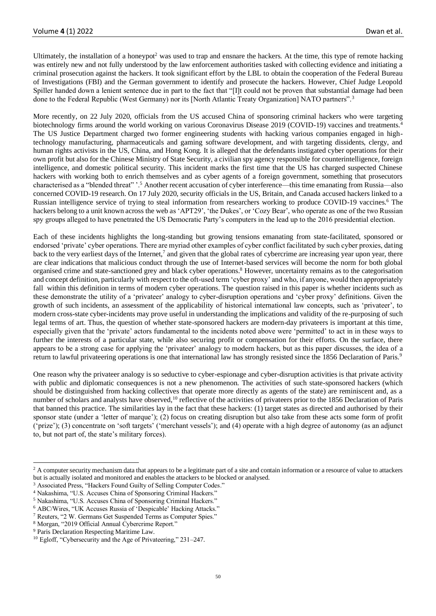Ultimately, the installation of a honeypot<sup>2</sup> was used to trap and ensnare the hackers. At the time, this type of remote hacking was entirely new and not fully understood by the law enforcement authorities tasked with collecting evidence and initiating a criminal prosecution against the hackers. It took significant effort by the LBL to obtain the cooperation of the Federal Bureau of Investigations (FBI) and the German government to identify and prosecute the hackers. However, Chief Judge Leopold Spiller handed down a lenient sentence due in part to the fact that "[I]t could not be proven that substantial damage had been done to the Federal Republic (West Germany) nor its [North Atlantic Treaty Organization] NATO partners".<sup>3</sup>

More recently, on 22 July 2020, officials from the US accused China of sponsoring criminal hackers who were targeting biotechnology firms around the world working on various Coronavirus Disease 2019 (COVID-19) vaccines and treatments.<sup>4</sup> The US Justice Department charged two former engineering students with hacking various companies engaged in hightechnology manufacturing, pharmaceuticals and gaming software development, and with targeting dissidents, clergy, and human rights activists in the US, China, and Hong Kong. It is alleged that the defendants instigated cyber operations for their own profit but also for the Chinese Ministry of State Security, a civilian spy agency responsible for counterintelligence, foreign intelligence, and domestic political security. This incident marks the first time that the US has charged suspected Chinese hackers with working both to enrich themselves and as cyber agents of a foreign government, something that prosecutors characterised as a "blended threat" '.<sup>5</sup> Another recent accusation of cyber interference—this time emanating from Russia—also concerned COVID-19 research. On 17 July 2020, security officials in the US, Britain, and Canada accused hackers linked to a Russian intelligence service of trying to steal information from researchers working to produce COVID-19 vaccines.<sup>6</sup> The hackers belong to a unit known across the web as 'APT29', 'the Dukes', or 'Cozy Bear', who operate as one of the two Russian spy groups alleged to have penetrated the US Democratic Party's computers in the lead up to the 2016 presidential election.

Each of these incidents highlights the long-standing but growing tensions emanating from state-facilitated, sponsored or endorsed 'private' cyber operations. There are myriad other examples of cyber conflict facilitated by such cyber proxies, dating back to the very earliest days of the Internet,<sup>7</sup> and given that the global rates of cybercrime are increasing year upon year, there are clear indications that malicious conduct through the use of Internet-based services will become the norm for both global organised crime and state-sanctioned grey and black cyber operations.<sup>8</sup> However, uncertainty remains as to the categorisation and concept definition, particularly with respect to the oft-used term 'cyber proxy' and who, if anyone, would then appropriately fall within this definition in terms of modern cyber operations. The question raised in this paper is whether incidents such as these demonstrate the utility of a 'privateer' analogy to cyber-disruption operations and 'cyber proxy' definitions. Given the growth of such incidents, an assessment of the applicability of historical international law concepts, such as 'privateer', to modern cross-state cyber-incidents may prove useful in understanding the implications and validity of the re-purposing of such legal terms of art. Thus, the question of whether state-sponsored hackers are modern-day privateers is important at this time, especially given that the 'private' actors fundamental to the incidents noted above were 'permitted' to act in in these ways to further the interests of a particular state, while also securing profit or compensation for their efforts. On the surface, there appears to be a strong case for applying the 'privateer' analogy to modern hackers, but as this paper discusses, the idea of a return to lawful privateering operations is one that international law has strongly resisted since the 1856 Declaration of Paris.<sup>9</sup>

One reason why the privateer analogy is so seductive to cyber-espionage and cyber-disruption activities is that private activity with public and diplomatic consequences is not a new phenomenon. The activities of such state-sponsored hackers (which should be distinguished from hacking collectives that operate more directly as agents of the state) are reminiscent and, as a number of scholars and analysts have observed,<sup>10</sup> reflective of the activities of privateers prior to the 1856 Declaration of Paris that banned this practice. The similarities lay in the fact that these hackers: (1) target states as directed and authorised by their sponsor state (under a 'letter of marque'); (2) focus on creating disruption but also take from these acts some form of profit ('prize'); (3) concentrate on 'soft targets' ('merchant vessels'); and (4) operate with a high degree of autonomy (as an adjunct to, but not part of, the state's military forces).

<sup>&</sup>lt;sup>2</sup> A computer security mechanism data that appears to be a legitimate part of a site and contain information or a resource of value to attackers but is actually isolated and monitored and enables the attackers to be blocked or analysed.

<sup>&</sup>lt;sup>3</sup> Associated Press, "Hackers Found Guilty of Selling Computer Codes."

<sup>4</sup> Nakashima, "U.S. Accuses China of Sponsoring Criminal Hackers."

<sup>5</sup> Nakashima, "U.S. Accuses China of Sponsoring Criminal Hackers."

<sup>6</sup> ABC/Wires, "UK Accuses Russia of 'Despicable' Hacking Attacks."

<sup>7</sup> Reuters, "2 W. Germans Get Suspended Terms as Computer Spies."

<sup>8</sup> Morgan, "2019 Official Annual Cybercrime Report."

<sup>&</sup>lt;sup>9</sup> Paris Declaration Respecting Maritime Law.

<sup>&</sup>lt;sup>10</sup> Egloff, "Cybersecurity and the Age of Privateering," 231–247.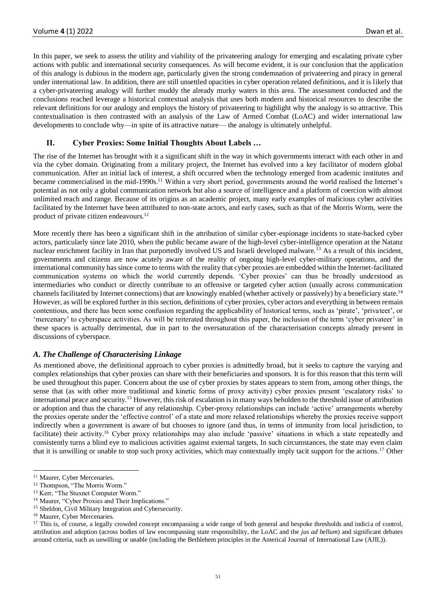In this paper, we seek to assess the utility and viability of the privateering analogy for emerging and escalating private cyber actions with public and international security consequences. As will become evident, it is our conclusion that the application of this analogy is dubious in the modern age, particularly given the strong condemnation of privateering and piracy in general under international law. In addition, there are still unsettled opacities in cyber operation related definitions, and it is likely that a cyber-privateering analogy will further muddy the already murky waters in this area. The assessment conducted and the conclusions reached leverage a historical contextual analysis that uses both modern and historical resources to describe the relevant definitions for our analogy and employs the history of privateering to highlight why the analogy is so attractive. This contextualisation is then contrasted with an analysis of the Law of Armed Combat (LoAC) and wider international law developments to conclude why—in spite of its attractive nature— the analogy is ultimately unhelpful.

## **II. Cyber Proxies: Some Initial Thoughts About Labels …**

The rise of the Internet has brought with it a significant shift in the way in which governments interact with each other in and via the cyber domain. Originating from a military project, the Internet has evolved into a key facilitator of modern global communication. After an initial lack of interest, a shift occurred when the technology emerged from academic institutes and became commercialised in the mid-1990s.<sup>11</sup> Within a very short period, governments around the world realised the Internet's potential as not only a global communication network but also a source of intelligence and a platform of coercion with almost unlimited reach and range. Because of its origins as an academic project, many early examples of malicious cyber activities facilitated by the Internet have been attributed to non-state actors, and early cases, such as that of the Morris Worm, were the product of private citizen endeavours.<sup>12</sup>

More recently there has been a significant shift in the attribution of similar cyber-espionage incidents to state-backed cyber actors, particularly since late 2010, when the public became aware of the high-level cyber-intelligence operation at the Natanz nuclear enrichment facility in Iran that purportedly involved US and Israeli developed malware.<sup>13</sup> As a result of this incident, governments and citizens are now acutely aware of the reality of ongoing high-level cyber-military operations, and the international community has since come to terms with the reality that cyber proxies are embedded within the Internet-facilitated communication systems on which the world currently depends. 'Cyber proxies' can thus be broadly understood as intermediaries who conduct or directly contribute to an offensive or targeted cyber action (usually across communication channels facilitated by Internet connections) that are knowingly enabled (whether actively or passively) by a beneficiary state.<sup>14</sup> However, as will be explored further in this section, definitions of cyber proxies, cyber actors and everything in between remain contentious, and there has been some confusion regarding the applicability of historical terms, such as 'pirate', 'privateer', or 'mercenary' to cyberspace activities. As will be reiterated throughout this paper, the inclusion of the term 'cyber privateer' in these spaces is actually detrimental, due in part to the oversaturation of the characterisation concepts already present in discussions of cyberspace.

## *A. The Challenge of Characterising Linkage*

As mentioned above, the definitional approach to cyber proxies is admittedly broad, but it seeks to capture the varying and complex relationships that cyber proxies can share with their beneficiaries and sponsors. It is for this reason that this term will be used throughout this paper. Concern about the use of cyber proxies by states appears to stem from, among other things, the sense that (as with other more traditional and kinetic forms of proxy activity) cyber proxies present 'escalatory risks' to international peace and security.<sup>15</sup> However, this risk of escalation is in many ways beholden to the threshold issue of attribution or adoption and thus the character of any relationship. Cyber-proxy relationships can include 'active' arrangements whereby the proxies operate under the 'effective control' of a state and more relaxed relationships whereby the proxies receive support indirectly when a government is aware of but chooses to ignore (and thus, in terms of immunity from local jurisdiction, to facilitate) their activity.<sup>16</sup> Cyber proxy relationships may also include 'passive' situations in which a state repeatedly and consistently turns a blind eye to malicious activities against external targets. In such circumstances, the state may even claim that it is unwilling or unable to stop such proxy activities, which may contextually imply tacit support for the actions.<sup>17</sup> Other

<sup>11</sup> Maurer, Cyber Mercenaries*.*

<sup>&</sup>lt;sup>12</sup> Thompson, "The Morris Worm."

<sup>&</sup>lt;sup>13</sup> Kerr, "The Stuxnet Computer Worm."

<sup>&</sup>lt;sup>14</sup> Maurer, "Cyber Proxies and Their Implications."

<sup>&</sup>lt;sup>15</sup> Sheldon, Civil Military Integration and Cybersecurity.

<sup>16</sup> Maurer, Cyber Mercenaries.

<sup>&</sup>lt;sup>17</sup> This is, of course, a legally crowded concept encompassing a wide range of both general and bespoke thresholds and indicia of control, attribution and adoption (across bodies of law encompassing state responsibility, the LoAC and the *jus ad bellum*) and significant debates around criteria, such as unwilling or unable (including the Bethlehem principles in the Americal Journal of International Law (AJIL)).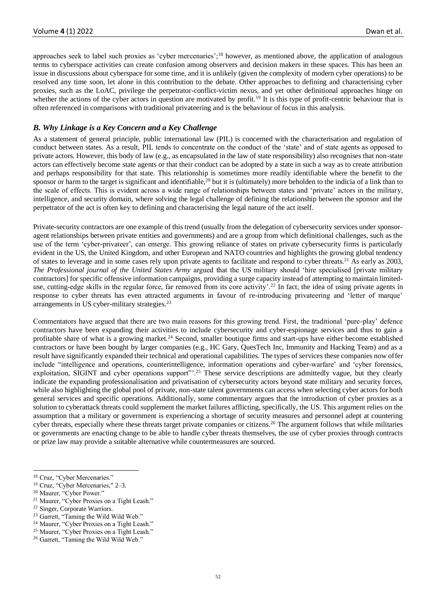approaches seek to label such proxies as 'cyber mercenaries';<sup>18</sup> however, as mentioned above, the application of analogous terms to cyberspace activities can create confusion among observers and decision makers in these spaces. This has been an issue in discussions about cyberspace for some time, and it is unlikely (given the complexity of modern cyber operations) to be resolved any time soon, let alone in this contribution to the debate. Other approaches to defining and characterising cyber proxies, such as the LoAC, privilege the perpetrator-conflict-victim nexus, and yet other definitional approaches hinge on whether the actions of the cyber actors in question are motivated by profit.<sup>19</sup> It is this type of profit-centric behaviour that is often referenced in comparisons with traditional privateering and is the behaviour of focus in this analysis.

#### *B. Why Linkage is a Key Concern and a Key Challenge*

As a statement of general principle, public international law (PIL) is concerned with the characterisation and regulation of conduct between states. As a result, PIL tends to concentrate on the conduct of the 'state' and of state agents as opposed to private actors. However, this body of law (e.g., as encapsulated in the law of state responsibility) also recognises that non-state actors can effectively become state agents or that their conduct can be adopted by a state in such a way as to create attribution and perhaps responsibility for that state. This relationship is sometimes more readily identifiable where the benefit to the sponsor or harm to the target is significant and identifiable, $20$  but it is (ultimately) more beholden to the indicia of a link than to the scale of effects. This is evident across a wide range of relationships between states and 'private' actors in the military, intelligence, and security domain, where solving the legal challenge of defining the relationship between the sponsor and the perpetrator of the act is often key to defining and characterising the legal nature of the act itself.

Private-security contractors are one example of this trend (usually from the delegation of cybersecurity services under sponsoragent relationships between private entities and governments) and are a group from which definitional challenges, such as the use of the term 'cyber-privateer', can emerge. This growing reliance of states on private cybersecurity firms is particularly evident in the US, the United Kingdom, and other European and NATO countries and highlights the growing global tendency of states to leverage and in some cases rely upon private agents to facilitate and respond to cyber threats.<sup>21</sup> As early as 2003, *The Professional journal of the United States Army* argued that the US military should 'hire specialised [private military contractors] for specific offensive information campaigns, providing a surge capacity instead of attempting to maintain limiteduse, cutting-edge skills in the regular force, far removed from its core activity'.<sup>22</sup> In fact, the idea of using private agents in response to cyber threats has even attracted arguments in favour of re-introducing privateering and 'letter of marque' arrangements in US cyber-military strategies.<sup>23</sup>

Commentators have argued that there are two main reasons for this growing trend. First, the traditional 'pure-play' defence contractors have been expanding their activities to include cybersecurity and cyber-espionage services and thus to gain a profitable share of what is a growing market.<sup>24</sup> Second, smaller boutique firms and start-ups have either become established contractors or have been bought by larger companies (e.g., HC Gary, QuesTech Inc, Immunity and Hacking Team) and as a result have significantly expanded their technical and operational capabilities. The types of services these companies now offer include "intelligence and operations, counterintelligence, information operations and cyber-warfare' and 'cyber forensics, exploitation, SIGINT and cyber operations support"<sup>25</sup> These service descriptions are admittedly vague, but they clearly indicate the expanding professionalisation and privatisation of cybersecurity actors beyond state military and security forces, while also highlighting the global pool of private, non-state talent governments can access when selecting cyber actors for both general services and specific operations. Additionally, some commentary argues that the introduction of cyber proxies as a solution to cyberattack threats could supplement the market failures afflicting, specifically, the US. This argument relies on the assumption that a military or government is experiencing a shortage of security measures and personnel adept at countering cyber threats, especially where these threats target private companies or citizens.<sup>26</sup> The argument follows that while militaries or governments are enacting change to be able to handle cyber threats themselves, the use of cyber proxies through contracts or prize law may provide a suitable alternative while countermeasures are sourced.

<sup>&</sup>lt;sup>18</sup> Cruz, "Cyber Mercenaries."

<sup>19</sup> Cruz, "Cyber Mercenaries," 2–3.

<sup>20</sup> Maurer, "Cyber Power."

<sup>21</sup> Maurer, "Cyber Proxies on a Tight Leash."

<sup>22</sup> Singer, Corporate Warriors.

<sup>23</sup> Garrett, "Taming the Wild Wild Web."

<sup>24</sup> Maurer, "Cyber Proxies on a Tight Leash."

<sup>25</sup> Maurer, "Cyber Proxies on a Tight Leash."

<sup>26</sup> Garrett, "Taming the Wild Wild Web."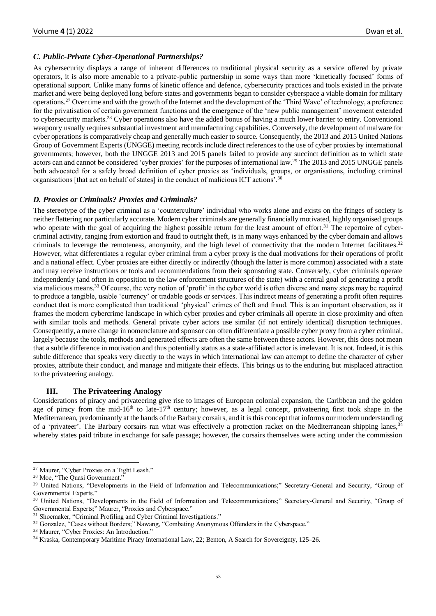### *C. Public-Private Cyber-Operational Partnerships?*

As cybersecurity displays a range of inherent differences to traditional physical security as a service offered by private operators, it is also more amenable to a private-public partnership in some ways than more 'kinetically focused' forms of operational support. Unlike many forms of kinetic offence and defence, cybersecurity practices and tools existed in the private market and were being deployed long before states and governments began to consider cyberspace a viable domain for military operations.<sup>27</sup> Over time and with the growth of the Internet and the development of the 'Third Wave' of technology, a preference for the privatisation of certain government functions and the emergence of the 'new public management' movement extended to cybersecurity markets.<sup>28</sup> Cyber operations also have the added bonus of having a much lower barrier to entry. Conventional weaponry usually requires substantial investment and manufacturing capabilities. Conversely, the development of malware for cyber operations is comparatively cheap and generally much easier to source. Consequently, the 2013 and 2015 United Nations Group of Government Experts (UNGGE) meeting records include direct references to the use of cyber proxies by international governments; however, both the UNGGE 2013 and 2015 panels failed to provide any succinct definition as to which state actors can and cannot be considered 'cyber proxies' for the purposes of international law.<sup>29</sup> The 2013 and 2015 UNGGE panels both advocated for a safely broad definition of cyber proxies as 'individuals, groups, or organisations, including criminal organisations [that act on behalf of states] in the conduct of malicious ICT actions'.<sup>30</sup>

#### *D. Proxies or Criminals? Proxies and Criminals?*

The stereotype of the cyber criminal as a 'counterculture' individual who works alone and exists on the fringes of society is neither flattering nor particularly accurate. Modern cyber criminals are generally financially motivated, highly organised groups who operate with the goal of acquiring the highest possible return for the least amount of effort.<sup>31</sup> The repertoire of cybercriminal activity, ranging from extortion and fraud to outright theft, is in many ways enhanced by the cyber domain and allows criminals to leverage the remoteness, anonymity, and the high level of connectivity that the modern Internet facilitates.<sup>32</sup> However, what differentiates a regular cyber criminal from a cyber proxy is the dual motivations for their operations of profit and a national effect. Cyber proxies are either directly or indirectly (though the latter is more common) associated with a state and may receive instructions or tools and recommendations from their sponsoring state. Conversely, cyber criminals operate independently (and often in opposition to the law enforcement structures of the state) with a central goal of generating a profit via malicious means.<sup>33</sup> Of course, the very notion of 'profit' in the cyber world is often diverse and many steps may be required to produce a tangible, usable 'currency' or tradable goods or services. This indirect means of generating a profit often requires conduct that is more complicated than traditional 'physical' crimes of theft and fraud. This is an important observation, as it frames the modern cybercrime landscape in which cyber proxies and cyber criminals all operate in close proximity and often with similar tools and methods. General private cyber actors use similar (if not entirely identical) disruption techniques. Consequently, a mere change in nomenclature and sponsor can often differentiate a possible cyber proxy from a cyber criminal, largely because the tools, methods and generated effects are often the same between these actors. However, this does not mean that a subtle difference in motivation and thus potentially status as a state-affiliated actor is irrelevant. It is not. Indeed, it is this subtle difference that speaks very directly to the ways in which international law can attempt to define the character of cyber proxies, attribute their conduct, and manage and mitigate their effects. This brings us to the enduring but misplaced attraction to the privateering analogy.

#### **III. The Privateering Analogy**

Considerations of piracy and privateering give rise to images of European colonial expansion, the Caribbean and the golden age of piracy from the mid-16<sup>th</sup> to late-17<sup>th</sup> century; however, as a legal concept, privateering first took shape in the Mediterranean, predominantly at the hands of the Barbary corsairs, and it is this concept that informs our modern understanding of a 'privateer'. The Barbary corsairs ran what was effectively a protection racket on the Mediterranean shipping lanes,<sup>34</sup> whereby states paid tribute in exchange for safe passage; however, the corsairs themselves were acting under the commission

<sup>27</sup> Maurer, "Cyber Proxies on a Tight Leash."

<sup>28</sup> Moe, "The Quasi Government."

<sup>&</sup>lt;sup>29</sup> United Nations, "Developments in the Field of Information and Telecommunications;" Secretary-General and Security, "Group of Governmental Experts."

<sup>&</sup>lt;sup>30</sup> United Nations, "Developments in the Field of Information and Telecommunications;" Secretary-General and Security, "Group of Governmental Experts;" Maurer, "Proxies and Cyberspace."

<sup>&</sup>lt;sup>31</sup> Shoemaker, "Criminal Profiling and Cyber Criminal Investigations."

<sup>&</sup>lt;sup>32</sup> Gonzalez, "Cases without Borders;" Nawang, "Combating Anonymous Offenders in the Cyberspace."

<sup>33</sup> Maurer, "Cyber Proxies: An Introduction."

<sup>34</sup> Kraska, Contemporary Maritime Piracy International Law, 22; Benton, A Search for Sovereignty, 125–26.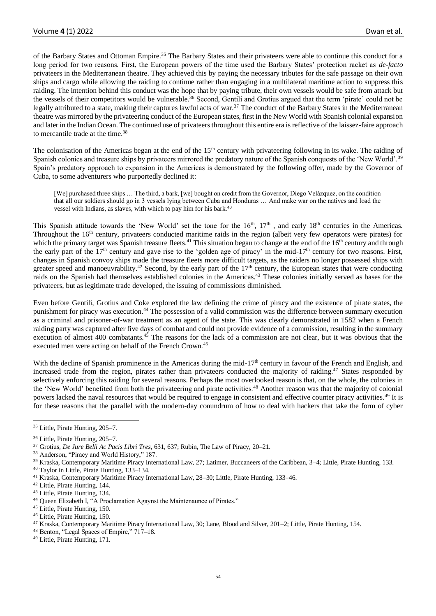of the Barbary States and Ottoman Empire.<sup>35</sup> The Barbary States and their privateers were able to continue this conduct for a long period for two reasons. First, the European powers of the time used the Barbary States' protection racket as *de-facto* privateers in the Mediterranean theatre. They achieved this by paying the necessary tributes for the safe passage on their own ships and cargo while allowing the raiding to continue rather than engaging in a multilateral maritime action to suppress this raiding. The intention behind this conduct was the hope that by paying tribute, their own vessels would be safe from attack but the vessels of their competitors would be vulnerable.<sup>36</sup> Second, Gentili and Grotius argued that the term 'pirate' could not be legally attributed to a state, making their captures lawful acts of war.<sup>37</sup> The conduct of the Barbary States in the Mediterranean theatre was mirrored by the privateering conduct of the European states, first in the New World with Spanish colonial expansion and later in the Indian Ocean. The continued use of privateers throughout this entire era is reflective of the laissez-faire approach to mercantile trade at the time.<sup>38</sup>

The colonisation of the Americas began at the end of the 15<sup>th</sup> century with privateering following in its wake. The raiding of Spanish colonies and treasure ships by privateers mirrored the predatory nature of the Spanish conquests of the 'New World'.<sup>39</sup> Spain's predatory approach to expansion in the Americas is demonstrated by the following offer, made by the Governor of Cuba, to some adventurers who purportedly declined it:

[We] purchased three ships … The third, a bark, [we] bought on credit from the Governor, Diego Velázquez, on the condition that all our soldiers should go in 3 vessels lying between Cuba and Honduras … And make war on the natives and load the vessel with Indians, as slaves, with which to pay him for his bark.<sup>40</sup>

This Spanish attitude towards the 'New World' set the tone for the 16<sup>th</sup>, 17<sup>th</sup>, and early 18<sup>th</sup> centuries in the Americas. Throughout the  $16<sup>th</sup>$  century, privateers conducted maritime raids in the region (albeit very few operators were pirates) for which the primary target was Spanish treasure fleets.<sup>41</sup> This situation began to change at the end of the 16<sup>th</sup> century and through the early part of the 17<sup>th</sup> century and gave rise to the 'golden age of piracy' in the mid-17<sup>th</sup> century for two reasons. First, changes in Spanish convoy ships made the treasure fleets more difficult targets, as the raiders no longer possessed ships with greater speed and manoeuvrability.<sup>42</sup> Second, by the early part of the  $17<sup>th</sup>$  century, the European states that were conducting raids on the Spanish had themselves established colonies in the Americas.<sup>43</sup> These colonies initially served as bases for the privateers, but as legitimate trade developed, the issuing of commissions diminished.

Even before Gentili, Grotius and Coke explored the law defining the crime of piracy and the existence of pirate states, the punishment for piracy was execution.<sup>44</sup> The possession of a valid commission was the difference between summary execution as a criminal and prisoner-of-war treatment as an agent of the state. This was clearly demonstrated in 1582 when a French raiding party was captured after five days of combat and could not provide evidence of a commission, resulting in the summary execution of almost 400 combatants.<sup>45</sup> The reasons for the lack of a commission are not clear, but it was obvious that the executed men were acting on behalf of the French Crown.<sup>46</sup>

With the decline of Spanish prominence in the Americas during the mid-17<sup>th</sup> century in favour of the French and English, and increased trade from the region, pirates rather than privateers conducted the majority of raiding.<sup>47</sup> States responded by selectively enforcing this raiding for several reasons. Perhaps the most overlooked reason is that, on the whole, the colonies in the 'New World' benefited from both the privateering and pirate activities.<sup>48</sup> Another reason was that the majority of colonial powers lacked the naval resources that would be required to engage in consistent and effective counter piracy activities.<sup>49</sup> It is for these reasons that the parallel with the modern-day conundrum of how to deal with hackers that take the form of cyber

<sup>48</sup> Benton, "Legal Spaces of Empire," 717–18.

<sup>35</sup> Little, Pirate Hunting, 205–7.

<sup>36</sup> Little, Pirate Hunting, 205–7.

<sup>37</sup> Grotius, *De Jure Belli Ac Pacis Libri Tres*, 631, 637; Rubin, The Law of Piracy, 20–21.

<sup>38</sup> Anderson, "Piracy and World History," 187.

<sup>39</sup> Kraska, Contemporary Maritime Piracy International Law, 27; Latimer, Buccaneers of the Caribbean, 3–4; Little, Pirate Hunting, 133.

<sup>40</sup> Taylor in Little, Pirate Hunting, 133–134.

<sup>41</sup> Kraska, Contemporary Maritime Piracy International Law, 28–30; Little, Pirate Hunting, 133–46.

<sup>42</sup> Little, Pirate Hunting, 144.

<sup>43</sup> Little, Pirate Hunting, 134.

<sup>44</sup> Queen Elizabeth I, "A Proclamation Agaynst the Maintenaunce of Pirates."

<sup>45</sup> Little, Pirate Hunting, 150.

<sup>46</sup> Little, Pirate Hunting, 150.

<sup>47</sup> Kraska, Contemporary Maritime Piracy International Law, 30; Lane, Blood and Silver, 201–2; Little, Pirate Hunting, 154.

<sup>49</sup> Little, Pirate Hunting, 171.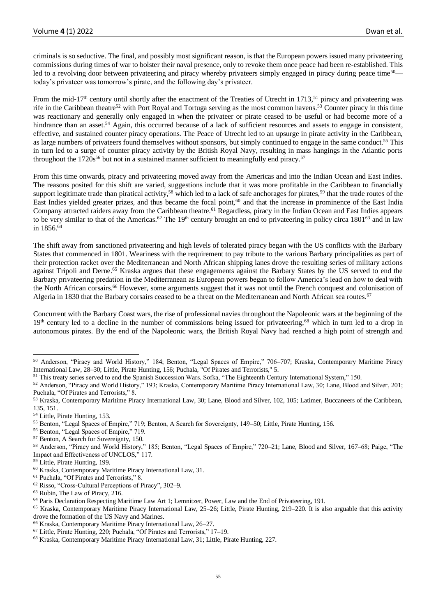criminals is so seductive. The final, and possibly most significant reason, is that the European powers issued many privateering commissions during times of war to bolster their naval presence, only to revoke them once peace had been re-established. This led to a revolving door between privateering and piracy whereby privateers simply engaged in piracy during peace time<sup>50</sup> today's privateer was tomorrow's pirate, and the following day's privateer.

From the mid-17<sup>th</sup> century until shortly after the enactment of the Treaties of Utrecht in 1713,<sup>51</sup> piracy and privateering was rife in the Caribbean theatre<sup>52</sup> with Port Royal and Tortuga serving as the most common havens.<sup>53</sup> Counter piracy in this time was reactionary and generally only engaged in when the privateer or pirate ceased to be useful or had become more of a hindrance than an asset.<sup>54</sup> Again, this occurred because of a lack of sufficient resources and assets to engage in consistent, effective, and sustained counter piracy operations. The Peace of Utrecht led to an upsurge in pirate activity in the Caribbean, as large numbers of privateers found themselves without sponsors, but simply continued to engage in the same conduct.<sup>55</sup> This in turn led to a surge of counter piracy activity by the British Royal Navy, resulting in mass hangings in the Atlantic ports throughout the  $1720s^{56}$  but not in a sustained manner sufficient to meaningfully end piracy.<sup>57</sup>

From this time onwards, piracy and privateering moved away from the Americas and into the Indian Ocean and East Indies. The reasons posited for this shift are varied, suggestions include that it was more profitable in the Caribbean to financially support legitimate trade than piratical activity,<sup>58</sup> which led to a lack of safe anchorages for pirates,<sup>59</sup> that the trade routes of the East Indies yielded greater prizes, and thus became the focal point,<sup>60</sup> and that the increase in prominence of the East India Company attracted raiders away from the Caribbean theatre.<sup>61</sup> Regardless, piracy in the Indian Ocean and East Indies appears to be very similar to that of the Americas.<sup>62</sup> The 19<sup>th</sup> century brought an end to privateering in policy circa 1801<sup>63</sup> and in law in  $1856^{64}$ 

The shift away from sanctioned privateering and high levels of tolerated piracy began with the US conflicts with the Barbary States that commenced in 1801. Weariness with the requirement to pay tribute to the various Barbary principalities as part of their protection racket over the Mediterranean and North African shipping lanes drove the resulting series of military actions against Tripoli and Derne.<sup>65</sup> Kraska argues that these engagements against the Barbary States by the US served to end the Barbary privateering predation in the Mediterranean as European powers began to follow America's lead on how to deal with the North African corsairs.<sup>66</sup> However, some arguments suggest that it was not until the French conquest and colonisation of Algeria in 1830 that the Barbary corsairs ceased to be a threat on the Mediterranean and North African sea routes.<sup>67</sup>

Concurrent with the Barbary Coast wars, the rise of professional navies throughout the Napoleonic wars at the beginning of the 19<sup>th</sup> century led to a decline in the number of commissions being issued for privateering,<sup>68</sup> which in turn led to a drop in autonomous pirates. By the end of the Napoleonic wars, the British Royal Navy had reached a high point of strength and

- <sup>56</sup> Benton, "Legal Spaces of Empire," 719.
- <sup>57</sup> Benton, A Search for Sovereignty, 150.

<sup>59</sup> Little, Pirate Hunting, 199.

<sup>61</sup> Puchala, "Of Pirates and Terrorists," 8.

<sup>63</sup> Rubin, The Law of Piracy, 216.

<sup>50</sup> Anderson, "Piracy and World History," 184; Benton, "Legal Spaces of Empire," 706–707; Kraska, Contemporary Maritime Piracy International Law, 28–30; Little, Pirate Hunting, 156; Puchala, "Of Pirates and Terrorists," 5.

<sup>51</sup> This treaty series served to end the Spanish Succession Wars. Sofka, "The Eighteenth Century International System," 150.

<sup>52</sup> Anderson, "Piracy and World History," 193; Kraska, Contemporary Maritime Piracy International Law, 30; Lane, Blood and Silver, 201; Puchala, "Of Pirates and Terrorists," 8.

<sup>53</sup> Kraska, Contemporary Maritime Piracy International Law, 30; Lane, Blood and Silver, 102, 105; Latimer, Buccaneers of the Caribbean, 135, 151.

<sup>54</sup> Little, Pirate Hunting, 153.

<sup>55</sup> Benton, "Legal Spaces of Empire," 719; Benton, A Search for Sovereignty, 149–50; Little, Pirate Hunting, 156.

<sup>58</sup> Anderson, "Piracy and World History," 185; Benton, "Legal Spaces of Empire," 720–21; Lane, Blood and Silver, 167–68; Paige, "The Impact and Effectiveness of UNCLOS," 117.

<sup>60</sup> Kraska, Contemporary Maritime Piracy International Law, 31.

<sup>62</sup> Risso, "Cross-Cultural Perceptions of Piracy", 302–9.

<sup>64</sup> Paris Declaration Respecting Maritime Law Art 1; Lemnitzer, Power, Law and the End of Privateering, 191.

<sup>65</sup> Kraska, Contemporary Maritime Piracy International Law, 25–26; Little, Pirate Hunting, 219–220. It is also arguable that this activity drove the formation of the US Navy and Marines.

<sup>66</sup> Kraska, Contemporary Maritime Piracy International Law, 26–27.

<sup>67</sup> Little, Pirate Hunting, 220; Puchala, "Of Pirates and Terrorists," 17–19.

<sup>68</sup> Kraska, Contemporary Maritime Piracy International Law, 31; Little, Pirate Hunting, 227.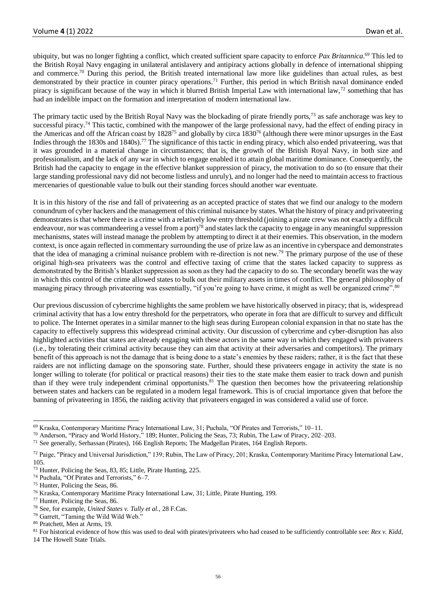ubiquity, but was no longer fighting a conflict, which created sufficient spare capacity to enforce *Pax Britannica*. <sup>69</sup> This led to the British Royal Navy engaging in unilateral antislavery and antipiracy actions globally in defence of international shipping and commerce.<sup>70</sup> During this period, the British treated international law more like guidelines than actual rules, as best demonstrated by their practice in counter piracy operations.<sup>71</sup> Further, this period in which British naval dominance ended piracy is significant because of the way in which it blurred British Imperial Law with international law,<sup>72</sup> something that has had an indelible impact on the formation and interpretation of modern international law.

The primary tactic used by the British Royal Navy was the blockading of pirate friendly ports,<sup>73</sup> as safe anchorage was key to successful piracy.<sup>74</sup> This tactic, combined with the manpower of the large professional navy, had the effect of ending piracy in the Americas and off the African coast by 1828<sup>75</sup> and globally by circa 1830<sup>76</sup> (although there were minor upsurges in the East Indies through the 1830s and 1840s).<sup>77</sup> The significance of this tactic in ending piracy, which also ended privateering, was that it was grounded in a material change in circumstances; that is, the growth of the British Royal Navy, in both size and professionalism, and the lack of any war in which to engage enabled it to attain global maritime dominance. Consequently, the British had the capacity to engage in the effective blanket suppression of piracy, the motivation to do so (to ensure that their large standing professional navy did not become listless and unruly), and no longer had the need to maintain access to fractious mercenaries of questionable value to bulk out their standing forces should another war eventuate.

It is in this history of the rise and fall of privateering as an accepted practice of states that we find our analogy to the modern conundrum of cyber hackers and the management of this criminal nuisance by states. What the history of piracy and privateering demonstrates is that where there is a crime with a relatively low entry threshold (joining a pirate crew was not exactly a difficult endeavour, nor was commandeering a vessel from a port)<sup>78</sup> and states lack the capacity to engage in any meaningful suppression mechanisms, states will instead manage the problem by attempting to direct it at their enemies. This observation, in the modern context, is once again reflected in commentary surrounding the use of prize law as an incentive in cyberspace and demonstrates that the idea of managing a criminal nuisance problem with re-direction is not new.<sup>79</sup> The primary purpose of the use of these original high-sea privateers was the control and effective taxing of crime that the states lacked capacity to suppress as demonstrated by the British's blanket suppression as soon as they had the capacity to do so. The secondary benefit was the way in which this control of the crime allowed states to bulk out their military assets in times of conflict. The general philosophy of managing piracy through privateering was essentially, "if you're going to have crime, it might as well be organized crime".<sup>80</sup>

Our previous discussion of cybercrime highlights the same problem we have historically observed in piracy; that is, widespread criminal activity that has a low entry threshold for the perpetrators, who operate in fora that are difficult to survey and difficult to police. The Internet operates in a similar manner to the high seas during European colonial expansion in that no state has the capacity to effectively suppress this widespread criminal activity. Our discussion of cybercrime and cyber-disruption has also highlighted activities that states are already engaging with these actors in the same way in which they engaged with privateers (i.e., by tolerating their criminal activity because they can aim that activity at their adversaries and competitors). The primary benefit of this approach is not the damage that is being done to a state's enemies by these raiders; rather, it is the fact that these raiders are not inflicting damage on the sponsoring state. Further, should these privateers engage in activity the state is no longer willing to tolerate (for political or practical reasons) their ties to the state make them easier to track down and punish than if they were truly independent criminal opportunists.<sup>81</sup> The question then becomes how the privateering relationship between states and hackers can be regulated in a modern legal framework. This is of crucial importance given that before the banning of privateering in 1856, the raiding activity that privateers engaged in was considered a valid use of force.

14 The Howell State Trials.

<sup>69</sup> Kraska, Contemporary Maritime Piracy International Law, 31; Puchala, "Of Pirates and Terrorists," 10–11.

<sup>70</sup> Anderson, "Piracy and World History," 189; Hunter, Policing the Seas, 73; Rubin, The Law of Piracy, 202–203.

<sup>71</sup> See generally, Serhassan (Pirates), 166 English Reports; The Madgellan Pirates, 164 English Reports.

<sup>&</sup>lt;sup>72</sup> Paige, "Piracy and Universal Jurisdiction," 139; Rubin, The Law of Piracy, 201; Kraska, Contemporary Maritime Piracy International Law, 105.

<sup>73</sup> Hunter, Policing the Seas, 83, 85; Little, Pirate Hunting, 225.

<sup>74</sup> Puchala, "Of Pirates and Terrorists," 6–7.

<sup>75</sup> Hunter, Policing the Seas, 86.

<sup>76</sup> Kraska, Contemporary Maritime Piracy International Law, 31; Little, Pirate Hunting, 199.

<sup>77</sup> Hunter, Policing the Seas, 86.

<sup>78</sup> See, for example, *United States v. Tully et al.,* 28 F.Cas.

<sup>79</sup> Garrett, "Taming the Wild Wild Web."

<sup>80</sup> Pratchett, Men at Arms, 19.

 $81$  For historical evidence of how this was used to deal with pirates/privateers who had ceased to be sufficiently controllable see: *Rex v. Kidd*,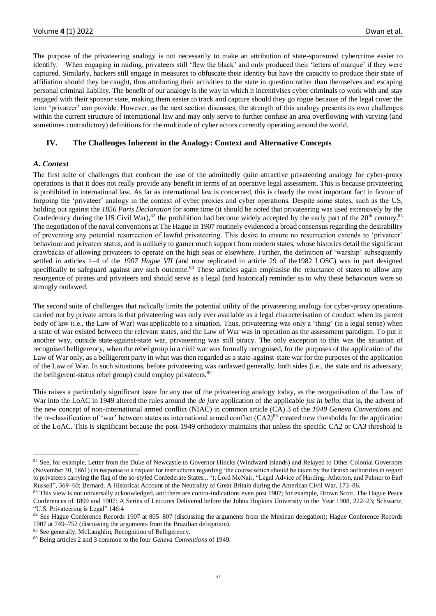The purpose of the privateering analogy is not necessarily to make an attribution of state-sponsored cybercrime easier to identify.—When engaging in raiding, privateers still 'flew the black' and only produced their 'letters of marque' if they were captured. Similarly, hackers still engage in measures to obfuscate their identity but have the capacity to produce their state of affiliation should they be caught, thus attributing their activities to the state in question rather than themselves and escaping personal criminal liability. The benefit of our analogy is the way in which it incentivises cyber criminals to work with and stay engaged with their sponsor state, making them easier to track and capture should they go rogue because of the legal cover the term 'privateer' can provide. However, as the next section discusses, the strength of this analogy presents its own challenges within the current structure of international law and may only serve to further confuse an area overflowing with varying (and sometimes contradictory) definitions for the multitude of cyber actors currently operating around the world.

## **IV. The Challenges Inherent in the Analogy: Context and Alternative Concepts**

## *A. Context*

The first suite of challenges that confront the use of the admittedly quite attractive privateering analogy for cyber-proxy operations is that it does not really provide any benefit in terms of an operative legal assessment. This is because privateering is prohibited in international law. As far as international law is concerned, this is clearly the most important fact in favour of forgoing the 'privateer' analogy in the context of cyber proxies and cyber operations. Despite some states, such as the US, holding out against the *1856 Paris Declaration* for some time (it should be noted that privateering was used extensively by the Confederacy during the US Civil War),<sup>82</sup> the prohibition had become widely accepted by the early part of the 20<sup>th</sup> century.<sup>83</sup> The negotiation of the naval conventions at The Hague in 1907 routinely evidenced a broad consensus regarding the desirability of preventing any potential resurrection of lawful privateering. This desire to ensure no resurrection extends to 'privateer' behaviour and privateer status, and is unlikely to garner much support from modern states, whose histories detail the significant drawbacks of allowing privateers to operate on the high seas or elsewhere. Further, the definition of 'warship' subsequently settled in articles 1–4 of the *1907 Hague VII* (and now replicated in article 29 of the1982 LOSC) was in part designed specifically to safeguard against any such outcome.<sup>84</sup> These articles again emphasise the reluctance of states to allow any resurgence of pirates and privateers and should serve as a legal (and historical) reminder as to why these behaviours were so strongly outlawed.

The second suite of challenges that radically limits the potential utility of the privateering analogy for cyber-proxy operations carried out by private actors is that privateering was only ever available as a legal characterisation of conduct when its parent body of law (i.e., the Law of War) was applicable to a situation. Thus, privateering was only a 'thing' (in a legal sense) when a state of war existed between the relevant states, and the Law of War was in operation as the assessment paradigm. To put it another way, outside state-against-state war, privateering was still piracy. The only exception to this was the situation of recognised belligerency, when the rebel group in a civil war was formally recognised, for the purposes of the application of the Law of War only, as a belligerent party in what was then regarded as a state-against-state war for the purposes of the application of the Law of War. In such situations, before privateering was outlawed generally, both sides (i.e., the state and its adversary, the belligerent-status rebel group) could employ privateers.<sup>85</sup>

This raises a particularly significant issue for any use of the privateering analogy today, as the reorganisation of the Law of War into the LoAC in 1949 altered the rules around the *de jure* application of the applicable *jus in bello*; that is, the advent of the new concept of non-international armed conflict (NIAC) in common article (CA) 3 of the *1949 Geneva Conventions* and the re-classification of 'war' between states as international armed conflict  $(CA2)^{86}$  created new thresholds for the application of the LoAC. This is significant because the post-1949 orthodoxy maintains that unless the specific CA2 or CA3 threshold is

<sup>&</sup>lt;sup>82</sup> See, for example, Letter from the Duke of Newcastle to Governor Hincks (Windward Islands) and Relayed to Other Colonial Governors (November 30, 1861) (in response to a request for instructions regarding 'the course which should be taken by the British authorities in regard to privateers carrying the flag of the so-styled Confederate States... '); Lord McNair, "Legal Advice of Harding, Atherton, and Palmer to Earl Russell", 369–60; Bernard, A Historical Account of the Neutrality of Great Britain during the American Civil War, 173–86.

<sup>&</sup>lt;sup>83</sup> This view is not universally acknowledged, and there are contra-indications even post 1907; for example, Brown Scott, The Hague Peace Conferences of 1899 and 1907: A Series of Lectures Delivered before the Johns Hopkins University in the Year 1908, 222–23; Schwartz, "U.S. Privateering is Legal" 146:4

<sup>84</sup> See Hague Conference Records 1907 at 805–807 (discussing the arguments from the Mexican delegation); Hague Conference Records 1907 at 749–752 (discussing the arguments from the Brazilian delegation).

<sup>85</sup> See generally, McLaughlin, Recognition of Belligerency.

<sup>86</sup> Being articles 2 and 3 common to the four *Geneva Conventions* of 1949.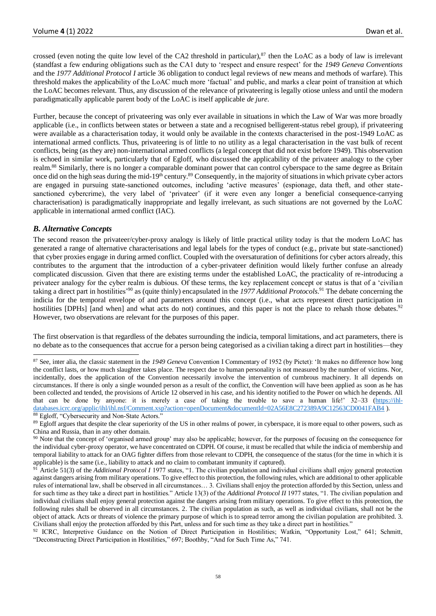crossed (even noting the quite low level of the CA2 threshold in particular), $87$  then the LoAC as a body of law is irrelevant (standfast a few enduring obligations such as the CA1 duty to 'respect and ensure respect' for the *1949 Geneva Conventions* and the *1977 Additional Protocol I* article 36 obligation to conduct legal reviews of new means and methods of warfare). This threshold makes the applicability of the LoAC much more 'factual' and public, and marks a clear point of transition at which the LoAC becomes relevant. Thus, any discussion of the relevance of privateering is legally otiose unless and until the modern paradigmatically applicable parent body of the LoAC is itself applicable *de jure*.

Further, because the concept of privateering was only ever available in situations in which the Law of War was more broadly applicable (i.e., in conflicts between states or between a state and a recognised belligerent-status rebel group), if privateering were available as a characterisation today, it would only be available in the contexts characterised in the post-1949 LoAC as international armed conflicts. Thus, privateering is of little to no utility as a legal characterisation in the vast bulk of recent conflicts, being (as they are) non-international armed conflicts (a legal concept that did not exist before 1949). This observation is echoed in similar work, particularly that of Egloff, who discussed the applicability of the privateer analogy to the cyber realm.<sup>88</sup> Similarly, there is no longer a comparable dominant power that can control cyberspace to the same degree as Britain once did on the high seas during the mid-19<sup>th</sup> century.<sup>89</sup> Consequently, in the majority of situations in which private cyber actors are engaged in pursuing state-sanctioned outcomes, including 'active measures' (espionage, data theft, and other statesanctioned cybercrime), the very label of 'privateer' (if it were even any longer a beneficial consequence-carrying characterisation) is paradigmatically inappropriate and legally irrelevant, as such situations are not governed by the LoAC applicable in international armed conflict (IAC).

## *B. Alternative Concepts*

The second reason the privateer/cyber-proxy analogy is likely of little practical utility today is that the modern LoAC has generated a range of alternative characterisations and legal labels for the types of conduct (e.g., private but state-sanctioned) that cyber proxies engage in during armed conflict. Coupled with the oversaturation of definitions for cyber actors already, this contributes to the argument that the introduction of a cyber-privateer definition would likely further confuse an already complicated discussion. Given that there are existing terms under the established LoAC, the practicality of re-introducing a privateer analogy for the cyber realm is dubious. Of these terms, the key replacement concept or status is that of a 'civilian taking a direct part in hostilities'<sup>90</sup> as (quite thinly) encapsulated in the *1977 Additional Protocols*. <sup>91</sup> The debate concerning the indicia for the temporal envelope of and parameters around this concept (i.e., what acts represent direct participation in hostilities [DPHs] [and when] and what acts do not) continues, and this paper is not the place to rehash those debates.<sup>92</sup> However, two observations are relevant for the purposes of this paper.

The first observation is that regardless of the debates surrounding the indicia, temporal limitations, and act parameters, there is no debate as to the consequences that accrue for a person being categorised as a civilian taking a direct part in hostilities—they

<sup>92</sup> ICRC, Interpretive Guidance on the Notion of Direct Participation in Hostilities; Watkin, "Opportunity Lost," 641; Schmitt, "Deconstructing Direct Participation in Hostilities," 697; Boothby, "And for Such Time As," 741.

<sup>87</sup> See, inter alia, the classic statement in the *1949 Geneva* Convention I Commentary of 1952 (by Pictet): 'It makes no difference how long the conflict lasts, or how much slaughter takes place. The respect due to human personality is not measured by the number of victims. Nor, incidentally, does the application of the Convention necessarily involve the intervention of cumbrous machinery. It all depends on circumstances. If there is only a single wounded person as a result of the conflict, the Convention will have been applied as soon as he has been collected and tended, the provisions of Article 12 observed in his case, and his identity notified to the Power on which he depends. All that can be done by anyone: it is merely a case of taking the trouble to save a human life!' 32–33 [\(https://ihl](https://ihl-databases.icrc.org/applic/ihl/ihl.nsf/Comment.xsp?action=openDocument&documentId=02A56E8C272389A9C12563CD0041FAB4)[databases.icrc.org/applic/ihl/ihl.nsf/Comment.xsp?action=openDocument&documentId=02A56E8C272389A9C12563CD0041FAB4](https://ihl-databases.icrc.org/applic/ihl/ihl.nsf/Comment.xsp?action=openDocument&documentId=02A56E8C272389A9C12563CD0041FAB4)). <sup>88</sup> Egloff, "Cybersecurity and Non-State Actors."

<sup>&</sup>lt;sup>89</sup> Egloff argues that despite the clear superiority of the US in other realms of power, in cyberspace, it is more equal to other powers, such as China and Russia, than in any other domain.

<sup>&</sup>lt;sup>90</sup> Note that the concept of 'organised armed group' may also be applicable; however, for the purposes of focusing on the consequence for the individual cyber-proxy operator, we have concentrated on CDPH. Of course, it must be recalled that while the indicia of membership and temporal liability to attack for an OAG fighter differs from those relevant to CDPH, the consequence of the status (for the time in which it is applicable) is the same (i.e., liability to attack and no claim to combatant immunity if captured).

<sup>91</sup> Article 51(3) of the *Additional Protocol I* 1977 states, "1. The civilian population and individual civilians shall enjoy general protection against dangers arising from military operations. To give effect to this protection, the following rules, which are additional to other applicable rules of international law, shall be observed in all circumstances… 3. Civilians shall enjoy the protection afforded by this Section, unless and for such time as they take a direct part in hostilities." Article 13(3) of the *Additional Protocol II* 1977 states, "1. The civilian population and individual civilians shall enjoy general protection against the dangers arising from military operations. To give effect to this protection, the following rules shall be observed in all circumstances. 2. The civilian population as such, as well as individual civilians, shall not be the object of attack. Acts or threats of violence the primary purpose of which is to spread terror among the civilian population are prohibited. 3. Civilians shall enjoy the protection afforded by this Part, unless and for such time as they take a direct part in hostilities."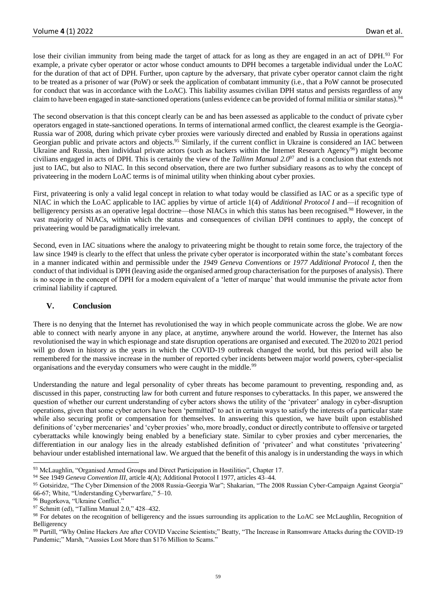lose their civilian immunity from being made the target of attack for as long as they are engaged in an act of DPH.<sup>93</sup> For example, a private cyber operator or actor whose conduct amounts to DPH becomes a targetable individual under the LoAC for the duration of that act of DPH. Further, upon capture by the adversary, that private cyber operator cannot claim the right to be treated as a prisoner of war (PoW) or seek the application of combatant immunity (i.e., that a PoW cannot be prosecuted for conduct that was in accordance with the LoAC). This liability assumes civilian DPH status and persists regardless of any claim to have been engaged in state-sanctioned operations (unless evidence can be provided of formal militia or similar status).<sup>94</sup>

The second observation is that this concept clearly can be and has been assessed as applicable to the conduct of private cyber operators engaged in state-sanctioned operations. In terms of international armed conflict, the clearest example is the Georgia-Russia war of 2008, during which private cyber proxies were variously directed and enabled by Russia in operations against Georgian public and private actors and objects.<sup>95</sup> Similarly, if the current conflict in Ukraine is considered an IAC between Ukraine and Russia, then individual private actors (such as hackers within the Internet Research Agency<sup>96</sup>) might become civilians engaged in acts of DPH. This is certainly the view of the *Tallinn Manual 2.0*<sup>97</sup> and is a conclusion that extends not just to IAC, but also to NIAC. In this second observation, there are two further subsidiary reasons as to why the concept of privateering in the modern LoAC terms is of minimal utility when thinking about cyber proxies.

First, privateering is only a valid legal concept in relation to what today would be classified as IAC or as a specific type of NIAC in which the LoAC applicable to IAC applies by virtue of article 1(4) of *Additional Protocol I* and—if recognition of belligerency persists as an operative legal doctrine—those NIACs in which this status has been recognised.<sup>98</sup> However, in the vast majority of NIACs, within which the status and consequences of civilian DPH continues to apply, the concept of privateering would be paradigmatically irrelevant.

Second, even in IAC situations where the analogy to privateering might be thought to retain some force, the trajectory of the law since 1949 is clearly to the effect that unless the private cyber operator is incorporated within the state's combatant forces in a manner indicated within and permissible under the *1949 Geneva Conventions* or *1977 Additional Protocol I*, then the conduct of that individual is DPH (leaving aside the organised armed group characterisation for the purposes of analysis). There is no scope in the concept of DPH for a modern equivalent of a 'letter of marque' that would immunise the private actor from criminal liability if captured.

## **V. Conclusion**

There is no denying that the Internet has revolutionised the way in which people communicate across the globe. We are now able to connect with nearly anyone in any place, at anytime, anywhere around the world. However, the Internet has also revolutionised the way in which espionage and state disruption operations are organised and executed. The 2020 to 2021 period will go down in history as the years in which the COVID-19 outbreak changed the world, but this period will also be remembered for the massive increase in the number of reported cyber incidents between major world powers, cyber-specialist organisations and the everyday consumers who were caught in the middle.<sup>99</sup>

Understanding the nature and legal personality of cyber threats has become paramount to preventing, responding and, as discussed in this paper, constructing law for both current and future responses to cyberattacks. In this paper, we answered the question of whether our current understanding of cyber actors shows the utility of the 'privateer' analogy in cyber-disruption operations, given that some cyber actors have been 'permitted' to act in certain ways to satisfy the interests of a particular state while also securing profit or compensation for themselves. In answering this question, we have built upon established definitions of 'cyber mercenaries' and 'cyber proxies' who, more broadly, conduct or directly contribute to offensive or targeted cyberattacks while knowingly being enabled by a beneficiary state. Similar to cyber proxies and cyber mercenaries, the differentiation in our analogy lies in the already established definition of 'privateer' and what constitutes 'privateering' behaviour under established international law. We argued that the benefit of this analogy is in understanding the ways in which

<sup>93</sup> McLaughlin, "Organised Armed Groups and Direct Participation in Hostilities", Chapter 17.

<sup>&</sup>lt;sup>94</sup> See 1949 *Geneva Convention III*, article 4(A); Additional Protocol I 1977, articles 43-44.

<sup>95</sup> Gotsiridze, "The Cyber Dimension of the 2008 Russia-Georgia War"; Shakarian, "The 2008 Russian Cyber-Campaign Against Georgia" 66-67; White, "Understanding Cyberwarfare," 5–10.

<sup>96</sup> Bugorkova, "Ukraine Conflict."

<sup>97</sup> Schmitt (ed), "Tallinn Manual 2.0," 428–432.

<sup>98</sup> For debates on the recognition of belligerency and the issues surrounding its application to the LoAC see McLaughlin, Recognition of Belligerency

<sup>99</sup> Purtill, "Why Online Hackers Are after COVID Vaccine Scientists;" Beatty, "The Increase in Ransomware Attacks during the COVID-19 Pandemic;" Marsh, "Aussies Lost More than \$176 Million to Scams."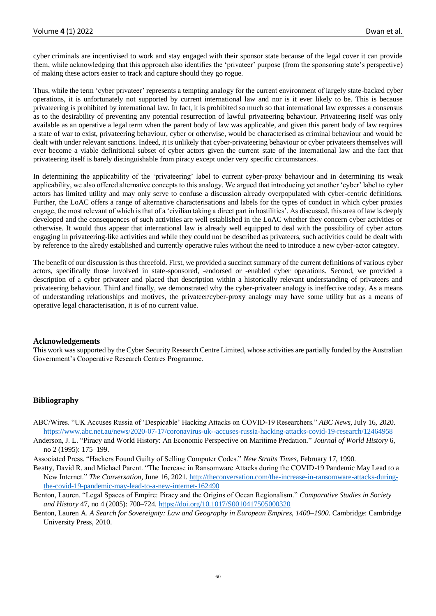cyber criminals are incentivised to work and stay engaged with their sponsor state because of the legal cover it can provide them, while acknowledging that this approach also identifies the 'privateer' purpose (from the sponsoring state's perspective) of making these actors easier to track and capture should they go rogue.

Thus, while the term 'cyber privateer' represents a tempting analogy for the current environment of largely state-backed cyber operations, it is unfortunately not supported by current international law and nor is it ever likely to be. This is because privateering is prohibited by international law. In fact, it is prohibited so much so that international law expresses a consensus as to the desirability of preventing any potential resurrection of lawful privateering behaviour. Privateering itself was only available as an operative a legal term when the parent body of law was applicable, and given this parent body of law requires a state of war to exist, privateering behaviour, cyber or otherwise, would be characterised as criminal behaviour and would be dealt with under relevant sanctions. Indeed, it is unlikely that cyber-privateering behaviour or cyber privateers themselves will ever become a viable definitional subset of cyber actors given the current state of the international law and the fact that privateering itself is barely distinguishable from piracy except under very specific circumstances.

In determining the applicability of the 'privateering' label to current cyber-proxy behaviour and in determining its weak applicability, we also offered alternative concepts to this analogy. We argued that introducing yet another 'cyber' label to cyber actors has limited utility and may only serve to confuse a discussion already overpopulated with cyber-centric definitions. Further, the LoAC offers a range of alternative characterisations and labels for the types of conduct in which cyber proxies engage, the most relevant of which is that of a 'civilian taking a direct part in hostilities'. As discussed, this area of law is deeply developed and the consequences of such activities are well established in the LoAC whether they concern cyber activities or otherwise. It would thus appear that international law is already well equipped to deal with the possibility of cyber actors engaging in privateering-like activities and while they could not be described as privateers, such activities could be dealt with by reference to the alredy established and currently operative rules without the need to introduce a new cyber-actor category.

The benefit of our discussion is thus threefold. First, we provided a succinct summary of the current definitions of various cyber actors, specifically those involved in state-sponsored, -endorsed or -enabled cyber operations. Second, we provided a description of a cyber privateer and placed that description within a historically relevant understanding of privateers and privateering behaviour. Third and finally, we demonstrated why the cyber-privateer analogy is ineffective today. As a means of understanding relationships and motives, the privateer/cyber-proxy analogy may have some utility but as a means of operative legal characterisation, it is of no current value.

#### **Acknowledgements**

This work was supported by the Cyber Security Research Centre Limited, whose activities are partially funded by the Australian Government's Cooperative Research Centres Programme.

## **Bibliography**

- ABC/Wires. "UK Accuses Russia of 'Despicable' Hacking Attacks on COVID-19 Researchers." *ABC News*, July 16, 2020. <https://www.abc.net.au/news/2020-07-17/coronavirus-uk--accuses-russia-hacking-attacks-covid-19-research/12464958>
- Anderson, J. L. "Piracy and World History: An Economic Perspective on Maritime Predation." *Journal of World History* 6, no 2 (1995): 175–199.

Associated Press. "Hackers Found Guilty of Selling Computer Codes." *New Straits Times*, February 17, 1990.

- Beatty, David R. and Michael Parent. "The Increase in Ransomware Attacks during the COVID-19 Pandemic May Lead to a New Internet." *The Conversation,* June 16, 2021. [http://theconversation.com/the-increase-in-ransomware-attacks-during](http://theconversation.com/the-increase-in-ransomware-attacks-during-the-covid-19-pandemic-may-lead-to-a-new-internet-162490)[the-covid-19-pandemic-may-lead-to-a-new-internet-162490](http://theconversation.com/the-increase-in-ransomware-attacks-during-the-covid-19-pandemic-may-lead-to-a-new-internet-162490)
- Benton, Lauren. "Legal Spaces of Empire: Piracy and the Origins of Ocean Regionalism." *Comparative Studies in Society and History* 47, no 4 (2005): 700–724. <https://doi.org/10.1017/S0010417505000320>
- Benton, Lauren A. *A Search for Sovereignty: Law and Geography in European Empires, 1400–1900*. Cambridge: Cambridge University Press, 2010.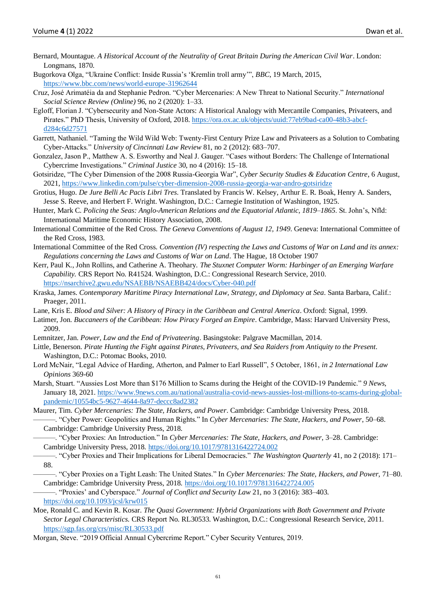- Bernard, Mountague. *A Historical Account of the Neutrality of Great Britain During the American Civil War*. London: Longmans, 1870.
- Bugorkova Olga, "Ukraine Conflict: Inside Russia's 'Kremlin troll army'", *BBC*, 19 March, 2015, <https://www.bbc.com/news/world-europe-31962644>
- Cruz, José Arimatéia da and Stephanie Pedron. "Cyber Mercenaries: A New Threat to National Security." *International Social Science Review (Online)* 96, no 2 (2020): 1–33.
- Egloff, Florian J. "Cybersecurity and Non-State Actors: A Historical Analogy with Mercantile Companies, Privateers, and Pirates." PhD Thesis, University of Oxford, 2018. [https://ora.ox.ac.uk/objects/uuid:77eb9bad-ca00-48b3-abcf](https://ora.ox.ac.uk/objects/uuid:77eb9bad-ca00-48b3-abcf-d284c6d27571)[d284c6d27571](https://ora.ox.ac.uk/objects/uuid:77eb9bad-ca00-48b3-abcf-d284c6d27571)
- Garrett, Nathaniel. "Taming the Wild Wild Web: Twenty-First Century Prize Law and Privateers as a Solution to Combating Cyber-Attacks." *University of Cincinnati Law Review* 81, no 2 (2012): 683–707.
- Gonzalez, Jason P., Matthew A. S. Esworthy and Neal J. Gauger. "Cases without Borders: The Challenge of International Cybercrime Investigations." *Criminal Justice* 30, no 4 (2016): 15–18.
- Gotsiridze, "The Cyber Dimension of the 2008 Russia-Georgia War", *Cyber Security Studies & Education Centre*, 6 August, 2021[, https://www.linkedin.com/pulse/cyber-dimension-2008-russia-georgia-war-andro-gotsiridze](https://www.linkedin.com/pulse/cyber-dimension-2008-russia-georgia-war-andro-gotsiridze)
- Grotius, Hugo. *De Jure Belli Ac Pacis Libri Tres*. Translated by Francis W. Kelsey, Arthur E. R. Boak, Henry A. Sanders, Jesse S. Reeve, and Herbert F. Wright. Washington, D.C.: Carnegie Institution of Washington, 1925.
- Hunter, Mark C. *Policing the Seas: Anglo-American Relations and the Equatorial Atlantic, 1819–1865*. St. John's, Nfld: International Maritime Economic History Association, 2008.
- International Committee of the Red Cross. *The Geneva Conventions of August 12, 1949*. Geneva: International Committee of the Red Cross, 1983.
- International Committee of the Red Cross*. Convention (IV) respecting the Laws and Customs of War on Land and its annex: Regulations concerning the Laws and Customs of War on Land*. The Hague, 18 October 1907
- Kerr, Paul K., John Rollins, and Catherine A. Theohary. *The Stuxnet Computer Worm: Harbinger of an Emerging Warfare Capability.* CRS Report No. R41524. Washington, D.C.: Congressional Research Service, 2010. <https://nsarchive2.gwu.edu/NSAEBB/NSAEBB424/docs/Cyber-040.pdf>
- Kraska, James. *Contemporary Maritime Piracy International Law, Strategy, and Diplomacy at Sea*. Santa Barbara, Calif.: Praeger, 2011.
- Lane, Kris E. *Blood and Silver: A History of Piracy in the Caribbean and Central America*. Oxford: Signal, 1999.
- Latimer, Jon. *Buccaneers of the Caribbean: How Piracy Forged an Empire*. Cambridge, Mass: Harvard University Press, 2009.
- Lemnitzer, Jan. *Power, Law and the End of Privateering*. Basingstoke: Palgrave Macmillan, 2014.
- Little, Benerson. *Pirate Hunting the Fight against Pirates, Privateers, and Sea Raiders from Antiquity to the Present*. Washington, D.C.: Potomac Books, 2010.
- Lord McNair, "Legal Advice of Harding, Atherton, and Palmer to Earl Russell", 5 October, 1861, *in 2 International Law Opinions* 369-60
- Marsh, Stuart. "Aussies Lost More than \$176 Million to Scams during the Height of the COVID-19 Pandemic." *9 News*, January 18, 2021. [https://www.9news.com.au/national/australia-covid-news-aussies-lost-millions-to-scams-during-global](https://www.9news.com.au/national/australia-covid-news-aussies-lost-millions-to-scams-during-global-pandemic/10554bc5-9627-4644-8a97-deccc8ad2382)[pandemic/10554bc5-9627-4644-8a97-deccc8ad2382](https://www.9news.com.au/national/australia-covid-news-aussies-lost-millions-to-scams-during-global-pandemic/10554bc5-9627-4644-8a97-deccc8ad2382)
- Maurer, Tim. *Cyber Mercenaries: The State, Hackers, and Power*. Cambridge: Cambridge University Press, 2018. ———. "Cyber Power: Geopolitics and Human Rights." In *Cyber Mercenaries: The State, Hackers, and Power*, 50–68. Cambridge: Cambridge University Press, 2018.
	- ———. "Cyber Proxies: An Introduction." In *Cyber Mercenaries: The State, Hackers, and Power*, 3–28. Cambridge: Cambridge University Press, 2018.<https://doi.org/10.1017/9781316422724.002>
	- ———. "Cyber Proxies and Their Implications for Liberal Democracies." *The Washington Quarterly* 41, no 2 (2018): 171– 88.
	- ———. "Cyber Proxies on a Tight Leash: The United States." In *Cyber Mercenaries: The State, Hackers, and Power*, 71–80. Cambridge: Cambridge University Press, 2018.<https://doi.org/10.1017/9781316422724.005>
	- ———. "Proxies' and Cyberspace." *Journal of Conflict and Security Law* 21, no 3 (2016): 383–403. <https://doi.org/10.1093/jcsl/krw015>
- Moe, Ronald C. and Kevin R. Kosar. *The Quasi Government: Hybrid Organizations with Both Government and Private Sector Legal Characteristics*. CRS Report No. RL30533. Washington, D.C.: Congressional Research Service, 2011. <https://sgp.fas.org/crs/misc/RL30533.pdf>
- Morgan, Steve. "2019 Official Annual Cybercrime Report." Cyber Security Ventures, 2019.